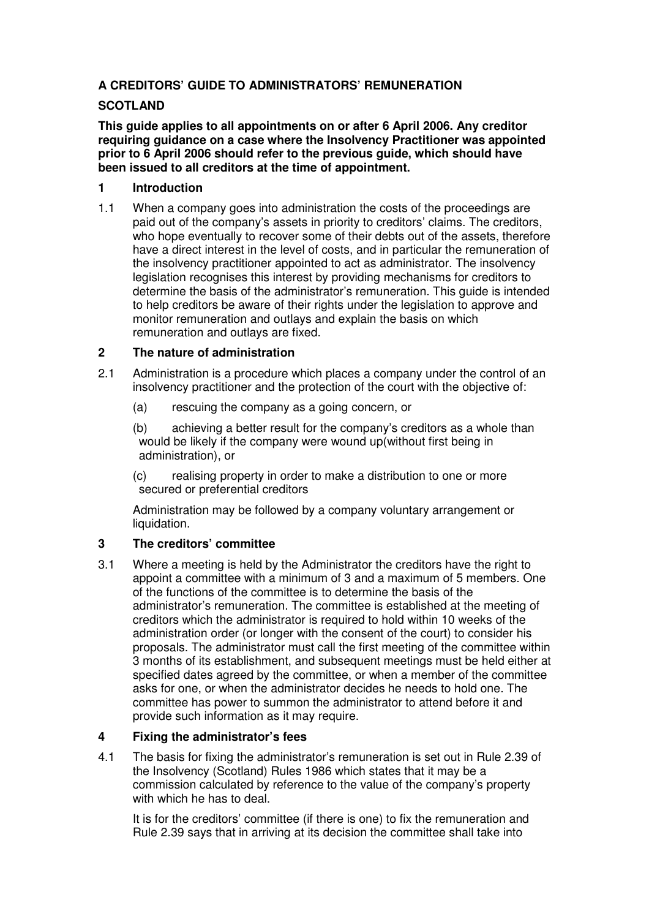# **A CREDITORS' GUIDE TO ADMINISTRATORS' REMUNERATION**

## **SCOTLAND**

**This guide applies to all appointments on or after 6 April 2006. Any creditor requiring guidance on a case where the Insolvency Practitioner was appointed prior to 6 April 2006 should refer to the previous guide, which should have been issued to all creditors at the time of appointment.** 

## **1 Introduction**

1.1 When a company goes into administration the costs of the proceedings are paid out of the company's assets in priority to creditors' claims. The creditors, who hope eventually to recover some of their debts out of the assets, therefore have a direct interest in the level of costs, and in particular the remuneration of the insolvency practitioner appointed to act as administrator. The insolvency legislation recognises this interest by providing mechanisms for creditors to determine the basis of the administrator's remuneration. This guide is intended to help creditors be aware of their rights under the legislation to approve and monitor remuneration and outlays and explain the basis on which remuneration and outlays are fixed.

# **2 The nature of administration**

- 2.1 Administration is a procedure which places a company under the control of an insolvency practitioner and the protection of the court with the objective of:
	- (a) rescuing the company as a going concern, or
	- (b) achieving a better result for the company's creditors as a whole than would be likely if the company were wound up(without first being in administration), or

(c) realising property in order to make a distribution to one or more secured or preferential creditors

Administration may be followed by a company voluntary arrangement or liquidation.

# **3 The creditors' committee**

3.1 Where a meeting is held by the Administrator the creditors have the right to appoint a committee with a minimum of 3 and a maximum of 5 members. One of the functions of the committee is to determine the basis of the administrator's remuneration. The committee is established at the meeting of creditors which the administrator is required to hold within 10 weeks of the administration order (or longer with the consent of the court) to consider his proposals. The administrator must call the first meeting of the committee within 3 months of its establishment, and subsequent meetings must be held either at specified dates agreed by the committee, or when a member of the committee asks for one, or when the administrator decides he needs to hold one. The committee has power to summon the administrator to attend before it and provide such information as it may require.

#### **4 Fixing the administrator's fees**

4.1 The basis for fixing the administrator's remuneration is set out in Rule 2.39 of the Insolvency (Scotland) Rules 1986 which states that it may be a commission calculated by reference to the value of the company's property with which he has to deal.

 It is for the creditors' committee (if there is one) to fix the remuneration and Rule 2.39 says that in arriving at its decision the committee shall take into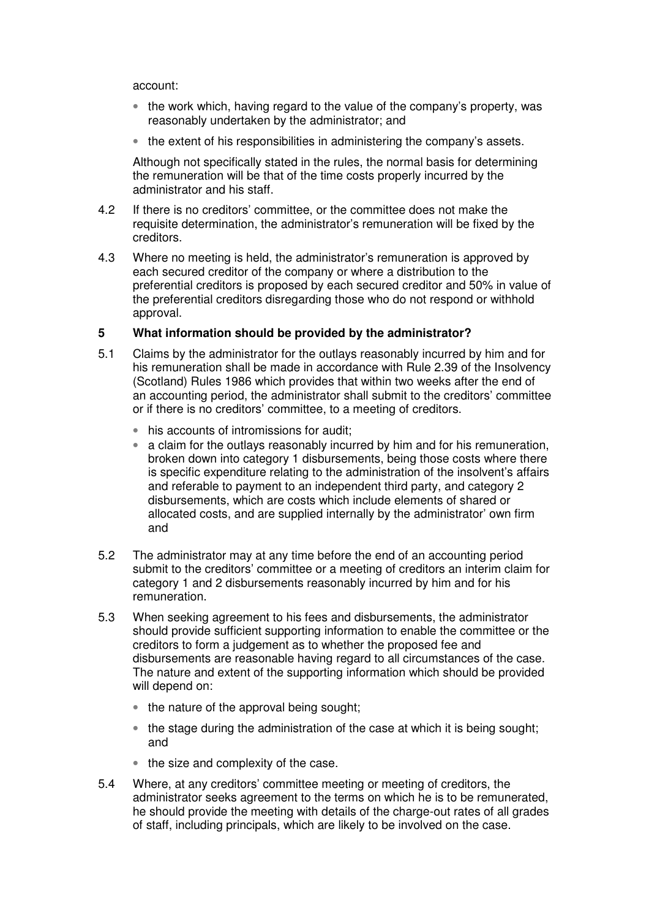account:

- the work which, having regard to the value of the company's property, was reasonably undertaken by the administrator; and
- the extent of his responsibilities in administering the company's assets.

 Although not specifically stated in the rules, the normal basis for determining the remuneration will be that of the time costs properly incurred by the administrator and his staff.

- 4.2 If there is no creditors' committee, or the committee does not make the requisite determination, the administrator's remuneration will be fixed by the creditors.
- 4.3 Where no meeting is held, the administrator's remuneration is approved by each secured creditor of the company or where a distribution to the preferential creditors is proposed by each secured creditor and 50% in value of the preferential creditors disregarding those who do not respond or withhold approval.

#### **5 What information should be provided by the administrator?**

- 5.1 Claims by the administrator for the outlays reasonably incurred by him and for his remuneration shall be made in accordance with Rule 2.39 of the Insolvency (Scotland) Rules 1986 which provides that within two weeks after the end of an accounting period, the administrator shall submit to the creditors' committee or if there is no creditors' committee, to a meeting of creditors.
	- his accounts of intromissions for audit;
	- a claim for the outlays reasonably incurred by him and for his remuneration, broken down into category 1 disbursements, being those costs where there is specific expenditure relating to the administration of the insolvent's affairs and referable to payment to an independent third party, and category 2 disbursements, which are costs which include elements of shared or allocated costs, and are supplied internally by the administrator' own firm and
- 5.2 The administrator may at any time before the end of an accounting period submit to the creditors' committee or a meeting of creditors an interim claim for category 1 and 2 disbursements reasonably incurred by him and for his remuneration.
- 5.3 When seeking agreement to his fees and disbursements, the administrator should provide sufficient supporting information to enable the committee or the creditors to form a judgement as to whether the proposed fee and disbursements are reasonable having regard to all circumstances of the case. The nature and extent of the supporting information which should be provided will depend on:
	- the nature of the approval being sought:
	- the stage during the administration of the case at which it is being sought; and
	- the size and complexity of the case.
- 5.4 Where, at any creditors' committee meeting or meeting of creditors, the administrator seeks agreement to the terms on which he is to be remunerated, he should provide the meeting with details of the charge-out rates of all grades of staff, including principals, which are likely to be involved on the case.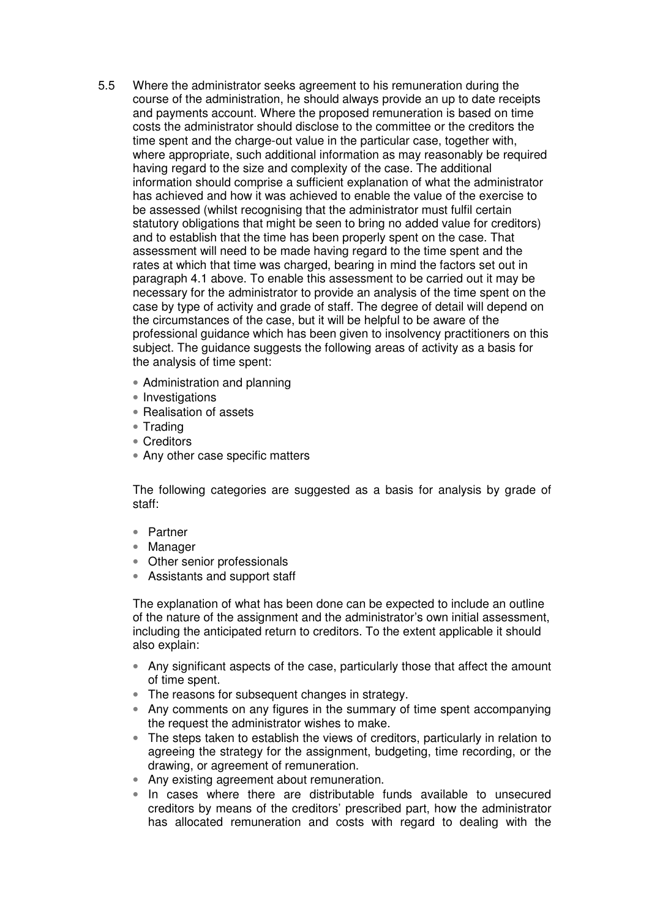- 5.5 Where the administrator seeks agreement to his remuneration during the course of the administration, he should always provide an up to date receipts and payments account. Where the proposed remuneration is based on time costs the administrator should disclose to the committee or the creditors the time spent and the charge-out value in the particular case, together with, where appropriate, such additional information as may reasonably be required having regard to the size and complexity of the case. The additional information should comprise a sufficient explanation of what the administrator has achieved and how it was achieved to enable the value of the exercise to be assessed (whilst recognising that the administrator must fulfil certain statutory obligations that might be seen to bring no added value for creditors) and to establish that the time has been properly spent on the case. That assessment will need to be made having regard to the time spent and the rates at which that time was charged, bearing in mind the factors set out in paragraph 4.1 above. To enable this assessment to be carried out it may be necessary for the administrator to provide an analysis of the time spent on the case by type of activity and grade of staff. The degree of detail will depend on the circumstances of the case, but it will be helpful to be aware of the professional guidance which has been given to insolvency practitioners on this subject. The guidance suggests the following areas of activity as a basis for the analysis of time spent:
	- Administration and planning
	- Investigations
	- Realisation of assets
	- Trading
	- Creditors
	- Any other case specific matters

The following categories are suggested as a basis for analysis by grade of staff:

- Partner
- Manager
- Other senior professionals
- Assistants and support staff

The explanation of what has been done can be expected to include an outline of the nature of the assignment and the administrator's own initial assessment, including the anticipated return to creditors. To the extent applicable it should also explain:

- Any significant aspects of the case, particularly those that affect the amount of time spent.
- The reasons for subsequent changes in strategy.
- Any comments on any figures in the summary of time spent accompanying the request the administrator wishes to make.
- The steps taken to establish the views of creditors, particularly in relation to agreeing the strategy for the assignment, budgeting, time recording, or the drawing, or agreement of remuneration.
- Any existing agreement about remuneration.
- In cases where there are distributable funds available to unsecured creditors by means of the creditors' prescribed part, how the administrator has allocated remuneration and costs with regard to dealing with the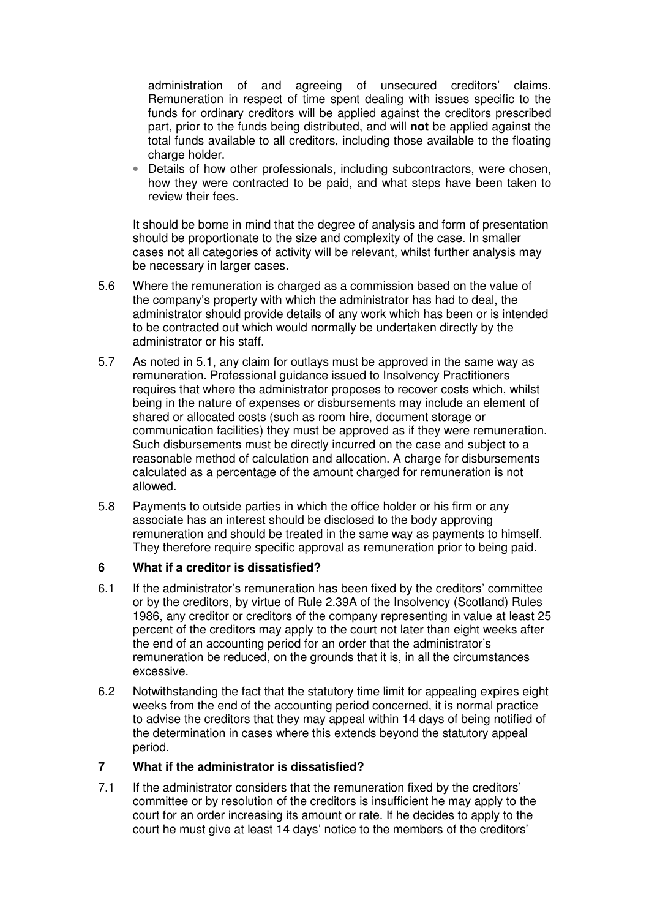administration of and agreeing of unsecured creditors' claims. Remuneration in respect of time spent dealing with issues specific to the funds for ordinary creditors will be applied against the creditors prescribed part, prior to the funds being distributed, and will **not** be applied against the total funds available to all creditors, including those available to the floating charge holder.

• Details of how other professionals, including subcontractors, were chosen, how they were contracted to be paid, and what steps have been taken to review their fees.

 It should be borne in mind that the degree of analysis and form of presentation should be proportionate to the size and complexity of the case. In smaller cases not all categories of activity will be relevant, whilst further analysis may be necessary in larger cases.

- 5.6 Where the remuneration is charged as a commission based on the value of the company's property with which the administrator has had to deal, the administrator should provide details of any work which has been or is intended to be contracted out which would normally be undertaken directly by the administrator or his staff.
- 5.7 As noted in 5.1, any claim for outlays must be approved in the same way as remuneration. Professional guidance issued to Insolvency Practitioners requires that where the administrator proposes to recover costs which, whilst being in the nature of expenses or disbursements may include an element of shared or allocated costs (such as room hire, document storage or communication facilities) they must be approved as if they were remuneration. Such disbursements must be directly incurred on the case and subject to a reasonable method of calculation and allocation. A charge for disbursements calculated as a percentage of the amount charged for remuneration is not allowed.
- 5.8 Payments to outside parties in which the office holder or his firm or any associate has an interest should be disclosed to the body approving remuneration and should be treated in the same way as payments to himself. They therefore require specific approval as remuneration prior to being paid.

#### **6 What if a creditor is dissatisfied?**

- 6.1 If the administrator's remuneration has been fixed by the creditors' committee or by the creditors, by virtue of Rule 2.39A of the Insolvency (Scotland) Rules 1986, any creditor or creditors of the company representing in value at least 25 percent of the creditors may apply to the court not later than eight weeks after the end of an accounting period for an order that the administrator's remuneration be reduced, on the grounds that it is, in all the circumstances excessive.
- 6.2 Notwithstanding the fact that the statutory time limit for appealing expires eight weeks from the end of the accounting period concerned, it is normal practice to advise the creditors that they may appeal within 14 days of being notified of the determination in cases where this extends beyond the statutory appeal period.

#### **7 What if the administrator is dissatisfied?**

7.1 If the administrator considers that the remuneration fixed by the creditors' committee or by resolution of the creditors is insufficient he may apply to the court for an order increasing its amount or rate. If he decides to apply to the court he must give at least 14 days' notice to the members of the creditors'